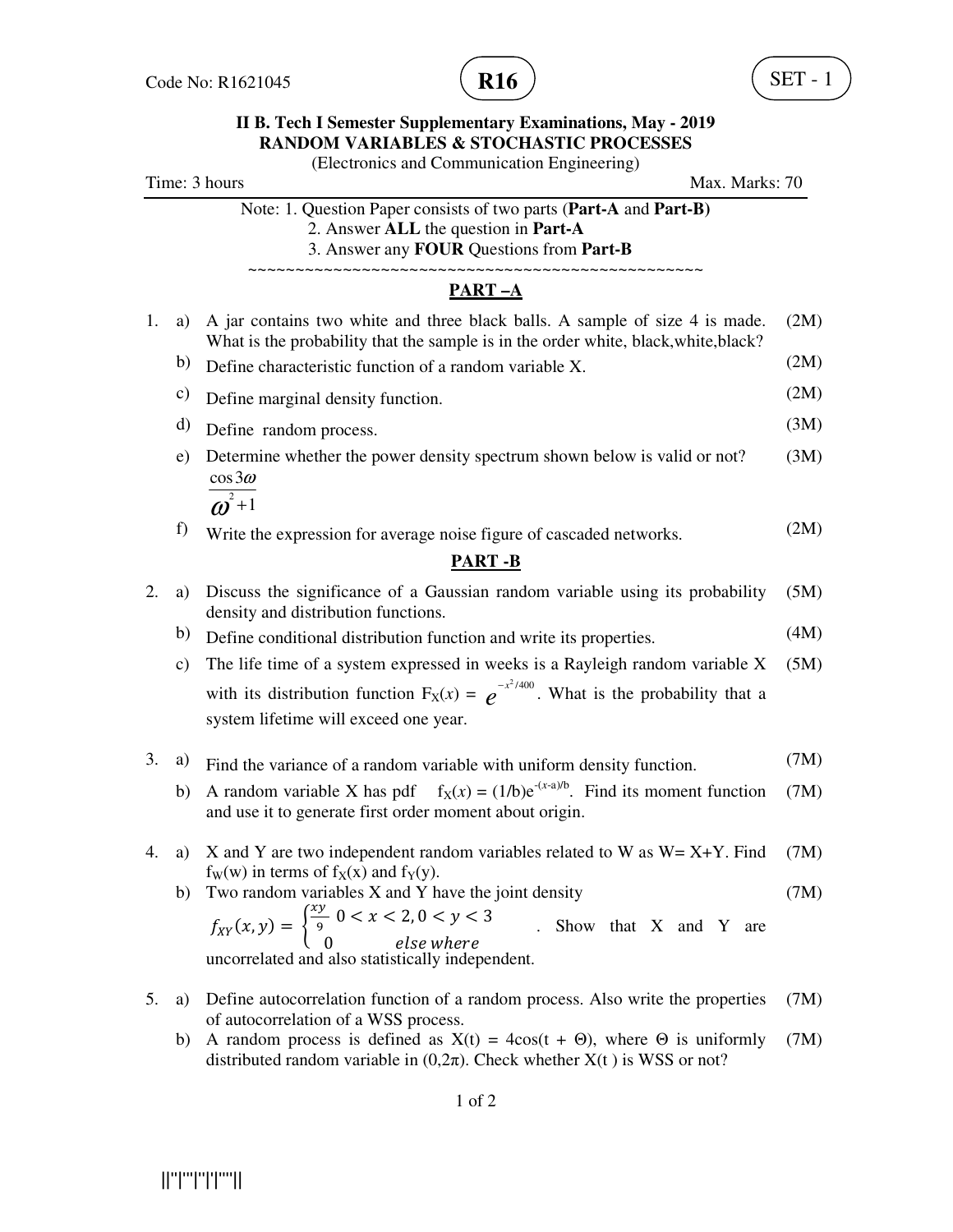

# **II B. Tech I Semester Supplementary Examinations, May - 2019 RANDOM VARIABLES & STOCHASTIC PROCESSES**

(Electronics and Communication Engineering)

| Time: 3 hours |  |  |
|---------------|--|--|
|---------------|--|--|

Max. Marks: 70

Note: 1. Question Paper consists of two parts (**Part-A** and **Part-B)** 2. Answer **ALL** the question in **Part-A**

3. Answer any **FOUR** Questions from **Part-B**

~~~~~~~~~~~~~~~~~~~~~~~~~~~~~~~~~~~~~~~~~~~~~~~~

## **PART –A**

| 1. | a) A jar contains two white and three black balls. A sample of size 4 is made.<br>What is the probability that the sample is in the order white, black, white, black? |                                                                                                                                                                                  | (2M) |
|----|-----------------------------------------------------------------------------------------------------------------------------------------------------------------------|----------------------------------------------------------------------------------------------------------------------------------------------------------------------------------|------|
|    | b)                                                                                                                                                                    | Define characteristic function of a random variable X.                                                                                                                           | (2M) |
|    | c)                                                                                                                                                                    | Define marginal density function.                                                                                                                                                | (2M) |
|    | d)                                                                                                                                                                    | Define random process.                                                                                                                                                           | (3M) |
|    | e)                                                                                                                                                                    | Determine whether the power density spectrum shown below is valid or not?<br>$\cos 3\omega$                                                                                      | (3M) |
|    |                                                                                                                                                                       | $\overline{\omega^2+1}$                                                                                                                                                          |      |
|    | f)                                                                                                                                                                    | Write the expression for average noise figure of cascaded networks.                                                                                                              | (2M) |
|    |                                                                                                                                                                       | <b>PART-B</b>                                                                                                                                                                    |      |
| 2. | a)                                                                                                                                                                    | Discuss the significance of a Gaussian random variable using its probability<br>density and distribution functions.                                                              | (5M) |
|    | b)                                                                                                                                                                    | Define conditional distribution function and write its properties.                                                                                                               | (4M) |
|    | $\mathbf{c})$                                                                                                                                                         | The life time of a system expressed in weeks is a Rayleigh random variable X                                                                                                     | (5M) |
|    |                                                                                                                                                                       | with its distribution function $F_X(x) = e^{-x^2/400}$ . What is the probability that a                                                                                          |      |
|    |                                                                                                                                                                       | system lifetime will exceed one year.                                                                                                                                            |      |
| 3. | a)                                                                                                                                                                    | Find the variance of a random variable with uniform density function.                                                                                                            | (7M) |
|    | b)                                                                                                                                                                    | A random variable X has pdf $f_X(x) = (1/b)e^{-(x-a)/b}$ . Find its moment function<br>and use it to generate first order moment about origin.                                   | (7M) |
| 4. | a)                                                                                                                                                                    | X and Y are two independent random variables related to W as $W = X+Y$ . Find                                                                                                    | (7M) |
|    | b)                                                                                                                                                                    | $f_W(w)$ in terms of $f_X(x)$ and $f_Y(y)$ .<br>Two random variables X and Y have the joint density                                                                              | (7M) |
|    |                                                                                                                                                                       |                                                                                                                                                                                  |      |
|    |                                                                                                                                                                       | $f_{XY}(x, y) = \begin{cases} \frac{xy}{9} & 0 < x < 2, 0 < y < 3 \\ 0 & else where \end{cases}$<br>Show that X and Y<br>are<br>uncorrelated and also statistically independent. |      |
| 5. | a)                                                                                                                                                                    | Define autocorrelation function of a random process. Also write the properties<br>of autocorrelation of a WSS process.                                                           | (7M) |
|    | b)                                                                                                                                                                    | A random process is defined as $X(t) = 4\cos(t + \Theta)$ , where $\Theta$ is uniformly<br>distributed random variable in $(0,2\pi)$ . Check whether $X(t)$ is WSS or not?       | (7M) |
|    |                                                                                                                                                                       |                                                                                                                                                                                  |      |